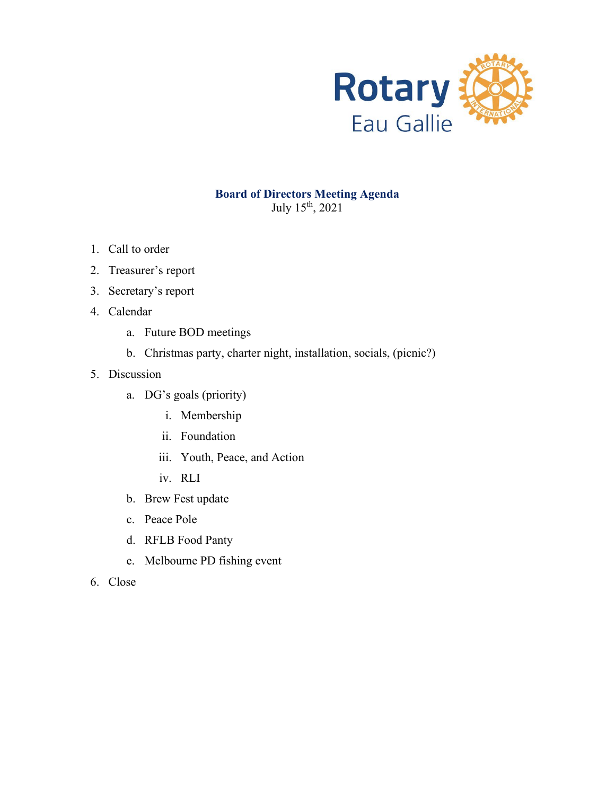

### **Board of Directors Meeting Agenda** July 15th, 2021

- 1. Call to order
- 2. Treasurer's report
- 3. Secretary's report
- 4. Calendar
	- a. Future BOD meetings
	- b. Christmas party, charter night, installation, socials, (picnic?)
- 5. Discussion
	- a. DG's goals (priority)
		- i. Membership
		- ii. Foundation
		- iii. Youth, Peace, and Action
		- iv. RLI
	- b. Brew Fest update
	- c. Peace Pole
	- d. RFLB Food Panty
	- e. Melbourne PD fishing event
- 6. Close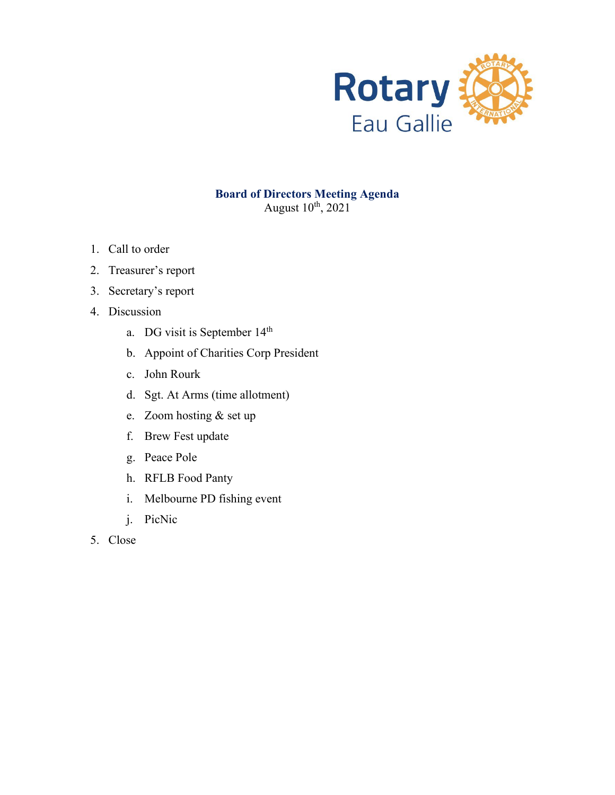

August  $10^{th}$ , 2021

- 1. Call to order
- 2. Treasurer's report
- 3. Secretary's report
- 4. Discussion
	- a. DG visit is September 14<sup>th</sup>
	- b. Appoint of Charities Corp President
	- c. John Rourk
	- d. Sgt. At Arms (time allotment)
	- e. Zoom hosting & set up
	- f. Brew Fest update
	- g. Peace Pole
	- h. RFLB Food Panty
	- i. Melbourne PD fishing event
	- j. PicNic
- 5. Close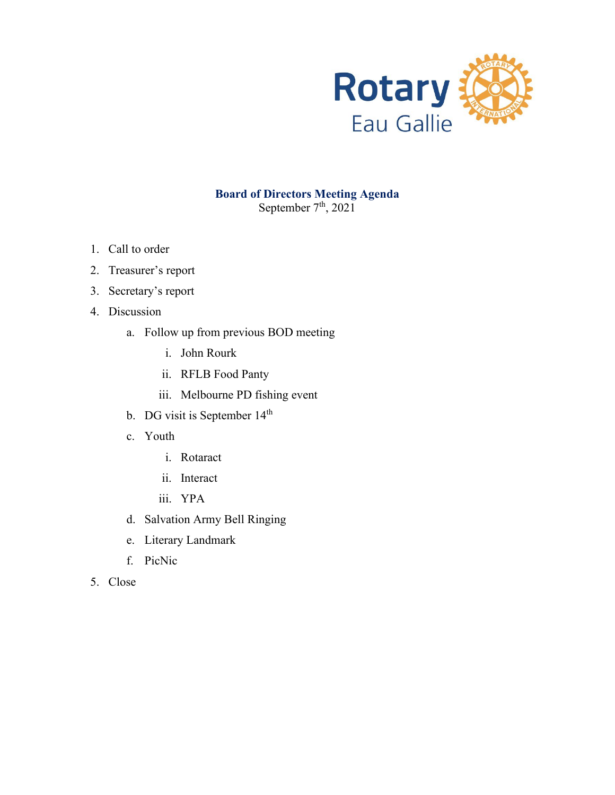

### **Board of Directors Meeting Agenda** September  $7<sup>th</sup>$ , 2021

- 1. Call to order
- 2. Treasurer's report
- 3. Secretary's report
- 4. Discussion
	- a. Follow up from previous BOD meeting
		- i. John Rourk
		- ii. RFLB Food Panty
		- iii. Melbourne PD fishing event
	- b. DG visit is September 14<sup>th</sup>
	- c. Youth
		- i. Rotaract
		- ii. Interact
		- iii. YPA
	- d. Salvation Army Bell Ringing
	- e. Literary Landmark
	- f. PicNic
- 5. Close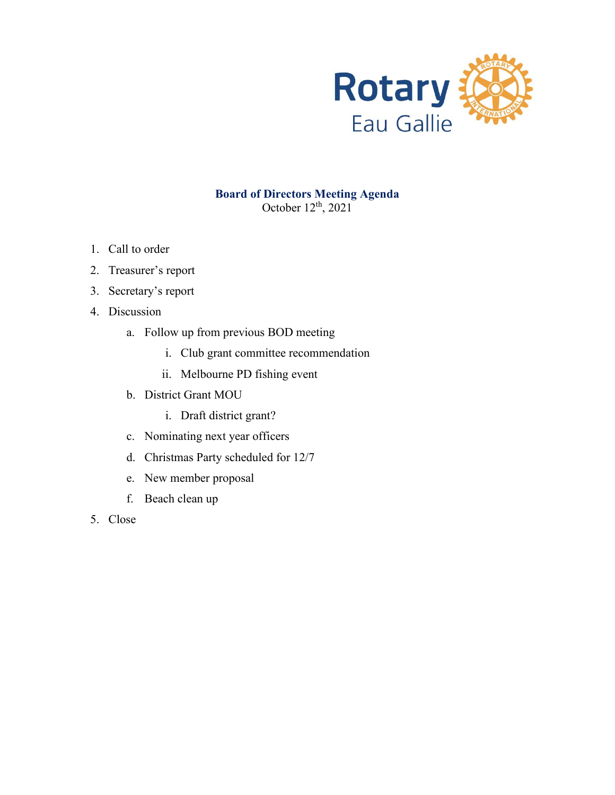

### **Board of Directors Meeting Agenda** October  $12<sup>th</sup>$ , 2021

- 1. Call to order
- 2. Treasurer's report
- 3. Secretary's report
- 4. Discussion
	- a. Follow up from previous BOD meeting
		- i. Club grant committee recommendation
		- ii. Melbourne PD fishing event
	- b. District Grant MOU
		- i. Draft district grant?
	- c. Nominating next year officers
	- d. Christmas Party scheduled for 12/7
	- e. New member proposal
	- f. Beach clean up
- 5. Close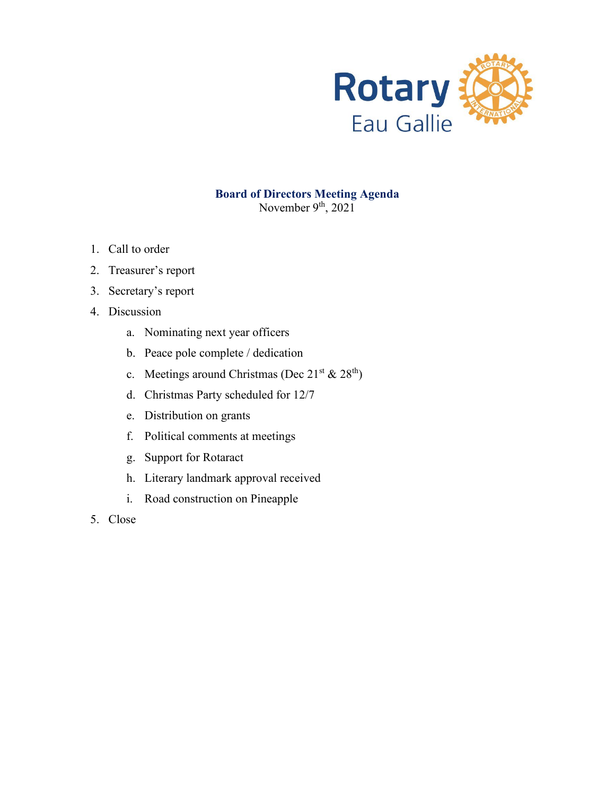

### **Board of Directors Meeting Agenda** November  $9<sup>th</sup>$ , 2021

- 1. Call to order
- 2. Treasurer's report
- 3. Secretary's report
- 4. Discussion
	- a. Nominating next year officers
	- b. Peace pole complete / dedication
	- c. Meetings around Christmas (Dec  $21<sup>st</sup>$  &  $28<sup>th</sup>$ )
	- d. Christmas Party scheduled for 12/7
	- e. Distribution on grants
	- f. Political comments at meetings
	- g. Support for Rotaract
	- h. Literary landmark approval received
	- i. Road construction on Pineapple
- 5. Close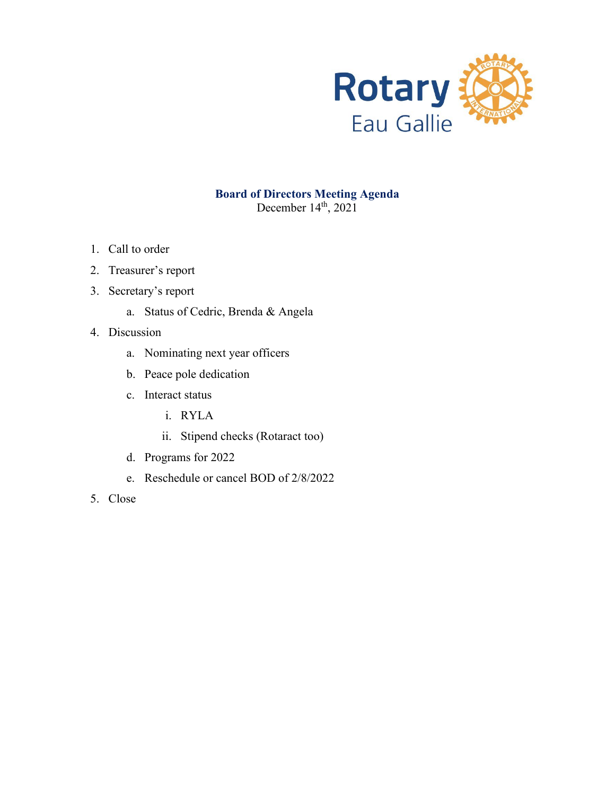

### **Board of Directors Meeting Agenda** December 14<sup>th</sup>, 2021

- 1. Call to order
- 2. Treasurer's report
- 3. Secretary's report
	- a. Status of Cedric, Brenda & Angela
- 4. Discussion
	- a. Nominating next year officers
	- b. Peace pole dedication
	- c. Interact status
		- i. RYLA
		- ii. Stipend checks (Rotaract too)
	- d. Programs for 2022
	- e. Reschedule or cancel BOD of 2/8/2022
- 5. Close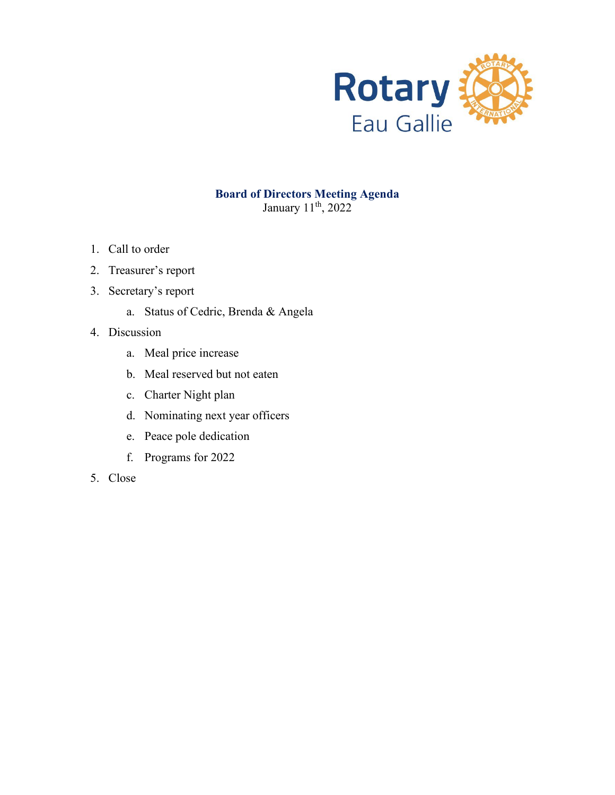

January 11<sup>th</sup>, 2022

- 1. Call to order
- 2. Treasurer's report
- 3. Secretary's report
	- a. Status of Cedric, Brenda & Angela
- 4. Discussion
	- a. Meal price increase
	- b. Meal reserved but not eaten
	- c. Charter Night plan
	- d. Nominating next year officers
	- e. Peace pole dedication
	- f. Programs for 2022
- 5. Close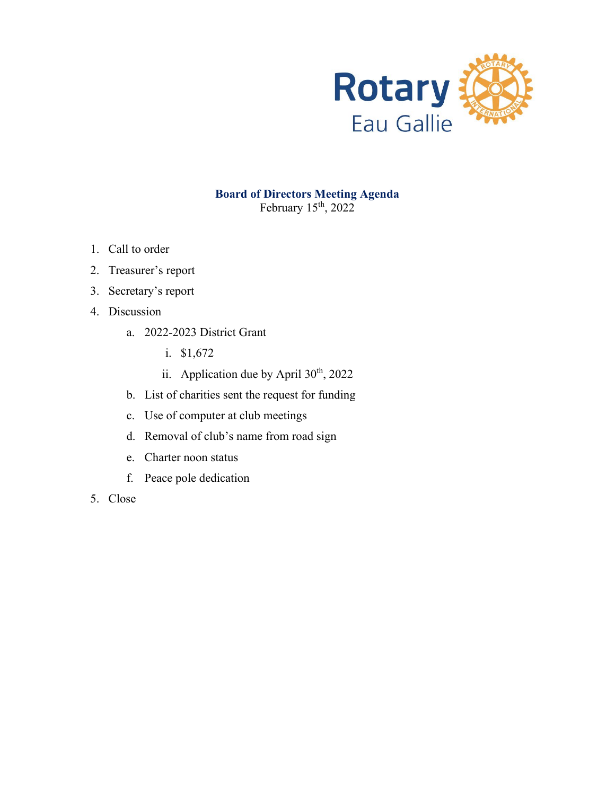

### **Board of Directors Meeting Agenda** February 15<sup>th</sup>, 2022

- 1. Call to order
- 2. Treasurer's report
- 3. Secretary's report
- 4. Discussion
	- a. 2022-2023 District Grant
		- i. \$1,672
		- ii. Application due by April 30<sup>th</sup>, 2022
	- b. List of charities sent the request for funding
	- c. Use of computer at club meetings
	- d. Removal of club's name from road sign
	- e. Charter noon status
	- f. Peace pole dedication
- 5. Close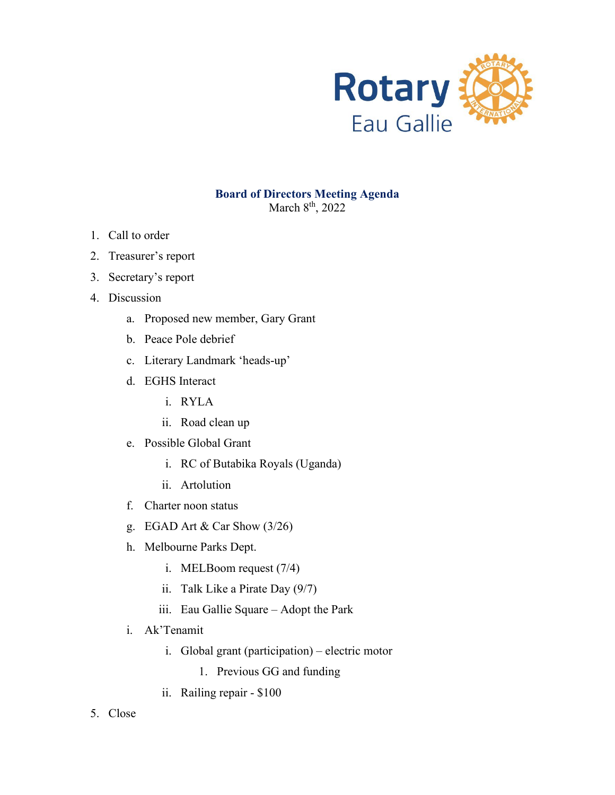

March 8<sup>th</sup>, 2022

- 1. Call to order
- 2. Treasurer's report
- 3. Secretary's report
- 4. Discussion
	- a. Proposed new member, Gary Grant
	- b. Peace Pole debrief
	- c. Literary Landmark 'heads-up'
	- d. EGHS Interact
		- i. RYLA
		- ii. Road clean up
	- e. Possible Global Grant
		- i. RC of Butabika Royals (Uganda)
		- ii. Artolution
	- f. Charter noon status
	- g. EGAD Art & Car Show (3/26)
	- h. Melbourne Parks Dept.
		- i. MELBoom request (7/4)
		- ii. Talk Like a Pirate Day (9/7)
		- iii. Eau Gallie Square Adopt the Park
	- i. Ak'Tenamit
		- i. Global grant (participation) electric motor
			- 1. Previous GG and funding
		- ii. Railing repair \$100
- 5. Close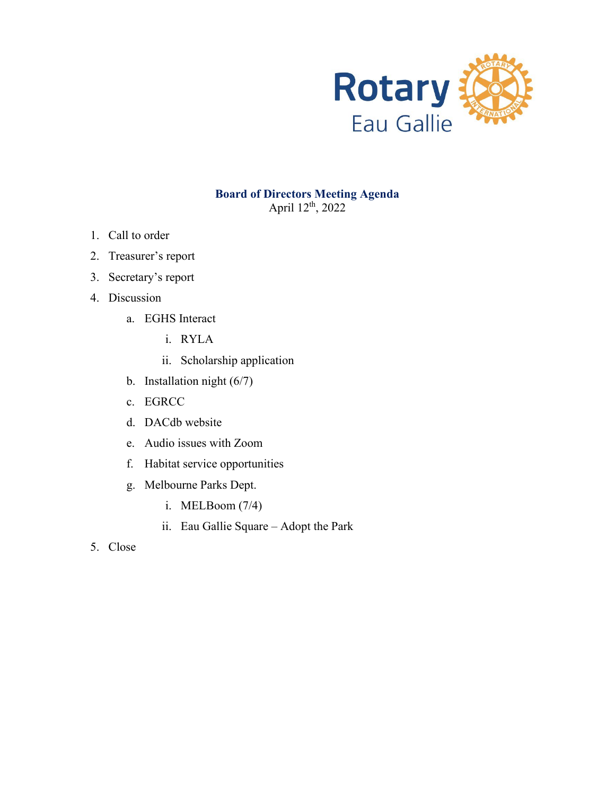

April 12th, 2022

- 1. Call to order
- 2. Treasurer's report
- 3. Secretary's report
- 4. Discussion
	- a. EGHS Interact
		- i. RYLA
		- ii. Scholarship application
	- b. Installation night (6/7)
	- c. EGRCC
	- d. DACdb website
	- e. Audio issues with Zoom
	- f. Habitat service opportunities
	- g. Melbourne Parks Dept.
		- i. MELBoom (7/4)
		- ii. Eau Gallie Square Adopt the Park
- 5. Close